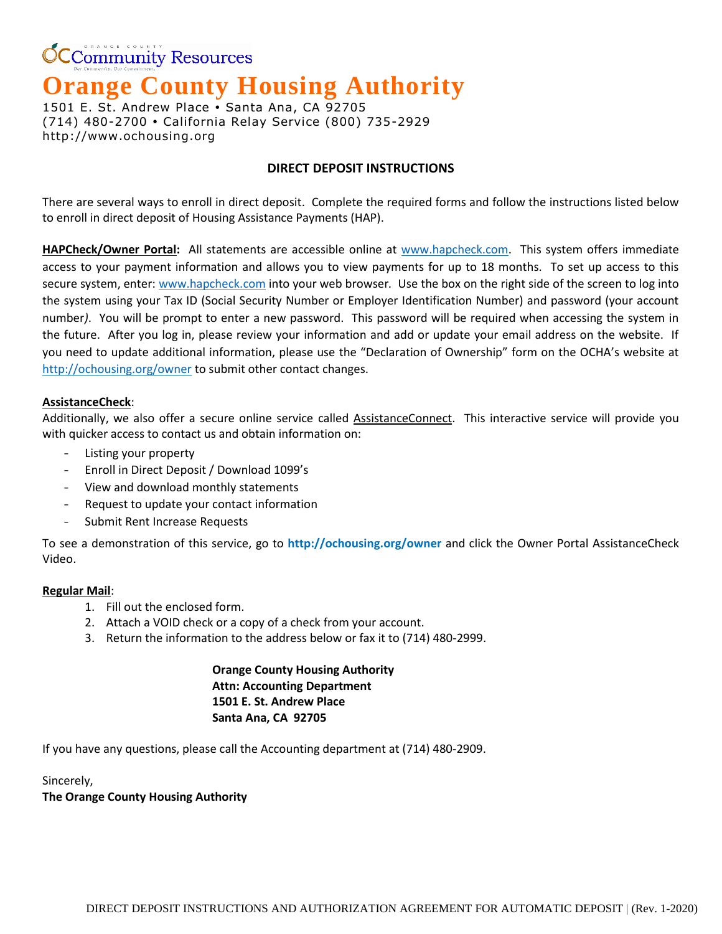**CCommunity Resources** 

# **Orange County Housing Authority**

1501 E. St. Andrew Place · Santa Ana, CA 92705 (714) 480-2700 California Relay Service (800) 735-2929 http://www.ochousing.org

## **DIRECT DEPOSIT INSTRUCTIONS**

There are several ways to enroll in direct deposit. Complete the required forms and follow the instructions listed below to enroll in direct deposit of Housing Assistance Payments (HAP).

**HAPCheck/Owner Portal:** All statements are accessible online at [www.hapcheck.com.](http://www.hapcheck.com/) This system offers immediate access to your payment information and allows you to view payments for up to 18 months. To set up access to this secure system, enter[: www.hapcheck.com](http://www.hapcheck.com/) into your web browser*.* Use the box on the right side of the screen to log into the system using your Tax ID (Social Security Number or Employer Identification Number) and password (your account number*)*. You will be prompt to enter a new password. This password will be required when accessing the system in the future. After you log in, please review your information and add or update your email address on the website. If you need to update additional information, please use the "Declaration of Ownership" form on the OCHA's website at <http://ochousing.org/owner> to submit other contact changes.

## **AssistanceCheck**:

Additionally, we also offer a secure online service called AssistanceConnect. This interactive service will provide you with quicker access to contact us and obtain information on:

- Listing your property
- Enroll in Direct Deposit / Download 1099's
- View and download monthly statements
- Request to update your contact information
- Submit Rent Increase Requests

To see a demonstration of this service, go to **<http://ochousing.org/owner>** and click the Owner Portal AssistanceCheck Video.

### **Regular Mail**:

- 1. Fill out the enclosed form.
- 2. Attach a VOID check or a copy of a check from your account.
- 3. Return the information to the address below or fax it to (714) 480-2999.

## **Orange County Housing Authority Attn: Accounting Department 1501 E. St. Andrew Place Santa Ana, CA 92705**

If you have any questions, please call the Accounting department at (714) 480-2909.

Sincerely, **The Orange County Housing Authority**